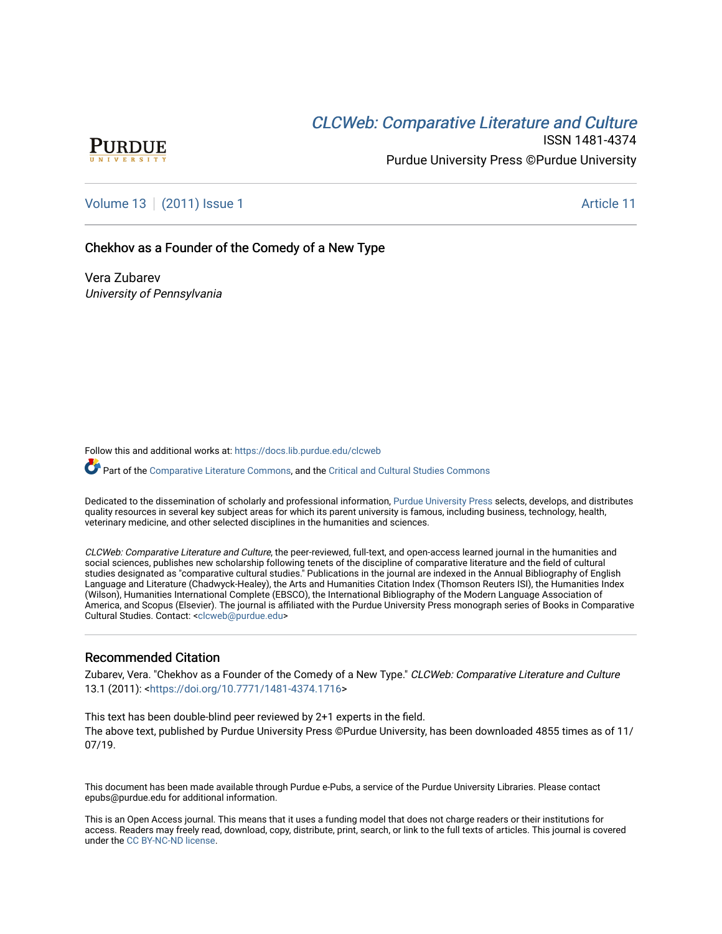# **CLCW[eb: Comparative Liter](https://docs.lib.purdue.edu/clcweb)ature and Culture**



ISSN 1481-4374 Purdue University Press ©Purdue University

[Volume 13](https://docs.lib.purdue.edu/clcweb/vol13) | [\(2011\) Issue 1](https://docs.lib.purdue.edu/clcweb/vol13/iss1) Article 11

# Chekhov as a Founder of the Comedy of a New Type

Vera Zubarev University of Pennsylvania

Follow this and additional works at: [https://docs.lib.purdue.edu/clcweb](https://docs.lib.purdue.edu/clcweb?utm_source=docs.lib.purdue.edu%2Fclcweb%2Fvol13%2Fiss1%2F11&utm_medium=PDF&utm_campaign=PDFCoverPages)

Part of the [Comparative Literature Commons,](http://network.bepress.com/hgg/discipline/454?utm_source=docs.lib.purdue.edu%2Fclcweb%2Fvol13%2Fiss1%2F11&utm_medium=PDF&utm_campaign=PDFCoverPages) and the Critical and Cultural Studies Commons

Dedicated to the dissemination of scholarly and professional information, [Purdue University Press](http://www.thepress.purdue.edu/) selects, develops, and distributes quality resources in several key subject areas for which its parent university is famous, including business, technology, health, veterinary medicine, and other selected disciplines in the humanities and sciences.

CLCWeb: Comparative Literature and Culture, the peer-reviewed, full-text, and open-access learned journal in the humanities and social sciences, publishes new scholarship following tenets of the discipline of comparative literature and the field of cultural studies designated as "comparative cultural studies." Publications in the journal are indexed in the Annual Bibliography of English Language and Literature (Chadwyck-Healey), the Arts and Humanities Citation Index (Thomson Reuters ISI), the Humanities Index (Wilson), Humanities International Complete (EBSCO), the International Bibliography of the Modern Language Association of America, and Scopus (Elsevier). The journal is affiliated with the Purdue University Press monograph series of Books in Comparative Cultural Studies. Contact: [<clcweb@purdue.edu](mailto:clcweb@purdue.edu)>

### Recommended Citation

Zubarev, Vera. "Chekhov as a Founder of the Comedy of a New Type." CLCWeb: Comparative Literature and Culture 13.1 (2011): [<https://doi.org/10.7771/1481-4374.1716>](https://doi.org/10.7771/1481-4374.1716)

This text has been double-blind peer reviewed by 2+1 experts in the field. The above text, published by Purdue University Press ©Purdue University, has been downloaded 4855 times as of 11/ 07/19.

This document has been made available through Purdue e-Pubs, a service of the Purdue University Libraries. Please contact epubs@purdue.edu for additional information.

This is an Open Access journal. This means that it uses a funding model that does not charge readers or their institutions for access. Readers may freely read, download, copy, distribute, print, search, or link to the full texts of articles. This journal is covered under the [CC BY-NC-ND license.](https://creativecommons.org/licenses/by-nc-nd/4.0/)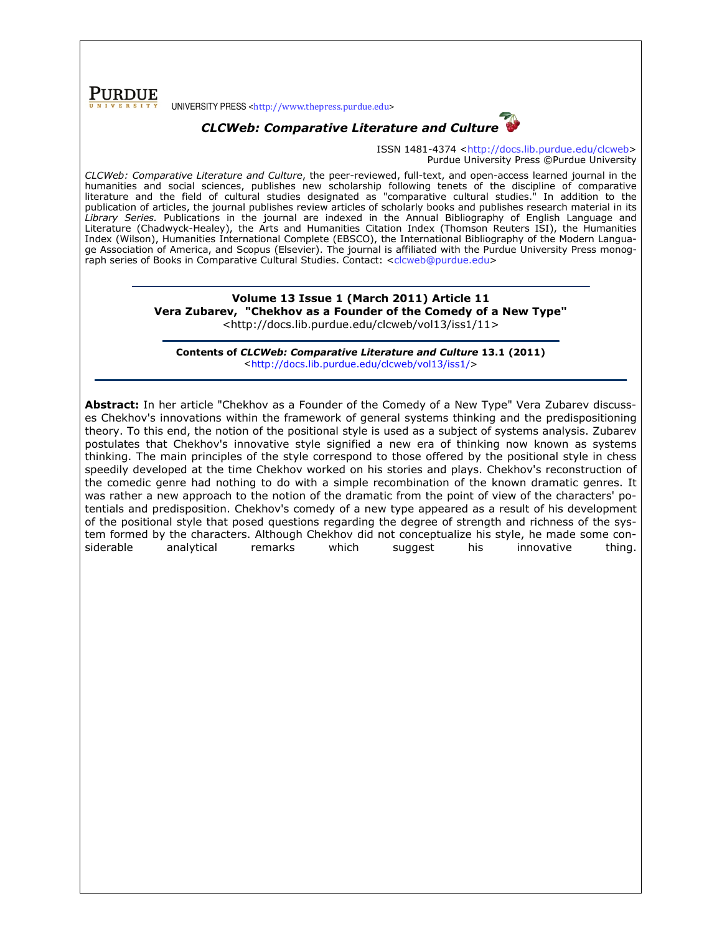UNIVERSITY PRESS <http://www.thepress.purdue.edu>

**PURDUE** 



ISSN 1481-4374 <http://docs.lib.purdue.edu/clcweb> Purdue University Press ©Purdue University

CLCWeb: Comparative Literature and Culture, the peer-reviewed, full-text, and open-access learned journal in the humanities and social sciences, publishes new scholarship following tenets of the discipline of comparative literature and the field of cultural studies designated as "comparative cultural studies." In addition to the publication of articles, the journal publishes review articles of scholarly books and publishes research material in its Library Series. Publications in the journal are indexed in the Annual Bibliography of English Language and Literature (Chadwyck-Healey), the Arts and Humanities Citation Index (Thomson Reuters ISI), the Humanities Index (Wilson), Humanities International Complete (EBSCO), the International Bibliography of the Modern Language Association of America, and Scopus (Elsevier). The journal is affiliated with the Purdue University Press monograph series of Books in Comparative Cultural Studies. Contact: <clcweb@purdue.edu>

#### Volume 13 Issue 1 (March 2011) Article 11 Vera Zubarev, "Chekhov as a Founder of the Comedy of a New Type" <http://docs.lib.purdue.edu/clcweb/vol13/iss1/11>

Contents of CLCWeb: Comparative Literature and Culture 13.1 (2011) <http://docs.lib.purdue.edu/clcweb/vol13/iss1/>

Abstract: In her article "Chekhov as a Founder of the Comedy of a New Type" Vera Zubarev discusses Chekhov's innovations within the framework of general systems thinking and the predispositioning theory. To this end, the notion of the positional style is used as a subject of systems analysis. Zubarev postulates that Chekhov's innovative style signified a new era of thinking now known as systems thinking. The main principles of the style correspond to those offered by the positional style in chess speedily developed at the time Chekhov worked on his stories and plays. Chekhov's reconstruction of the comedic genre had nothing to do with a simple recombination of the known dramatic genres. It was rather a new approach to the notion of the dramatic from the point of view of the characters' potentials and predisposition. Chekhov's comedy of a new type appeared as a result of his development of the positional style that posed questions regarding the degree of strength and richness of the system formed by the characters. Although Chekhov did not conceptualize his style, he made some considerable analytical remarks which suggest his innovative thing.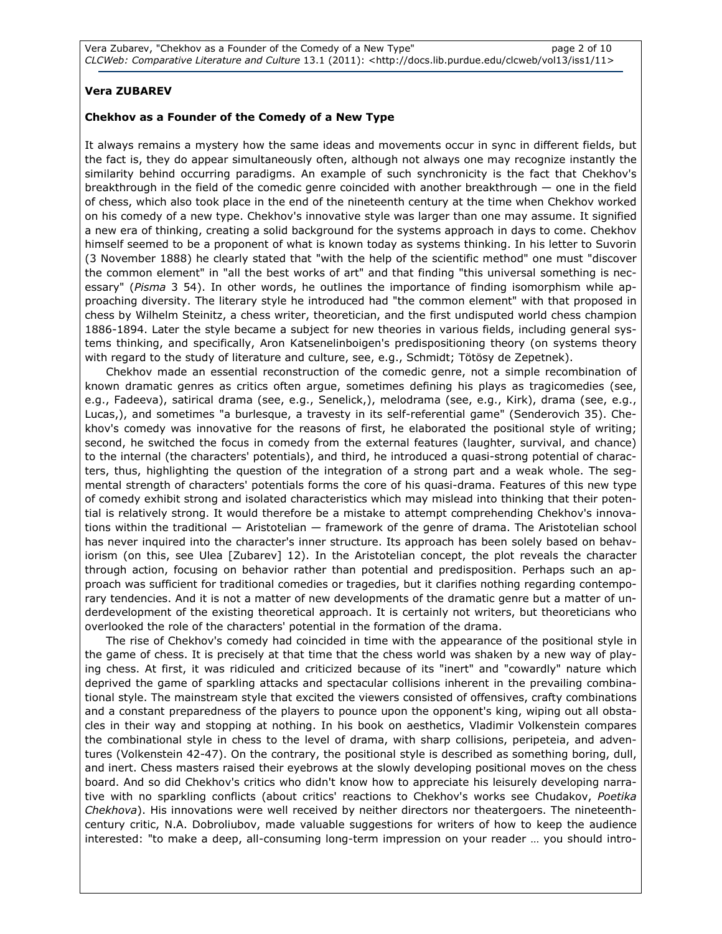## Vera ZUBAREV

#### Chekhov as a Founder of the Comedy of a New Type

It always remains a mystery how the same ideas and movements occur in sync in different fields, but the fact is, they do appear simultaneously often, although not always one may recognize instantly the similarity behind occurring paradigms. An example of such synchronicity is the fact that Chekhov's breakthrough in the field of the comedic genre coincided with another breakthrough — one in the field of chess, which also took place in the end of the nineteenth century at the time when Chekhov worked on his comedy of a new type. Chekhov's innovative style was larger than one may assume. It signified a new era of thinking, creating a solid background for the systems approach in days to come. Chekhov himself seemed to be a proponent of what is known today as systems thinking. In his letter to Suvorin (3 November 1888) he clearly stated that "with the help of the scientific method" one must "discover the common element" in "all the best works of art" and that finding "this universal something is necessary" (Pisma 3 54). In other words, he outlines the importance of finding isomorphism while approaching diversity. The literary style he introduced had "the common element" with that proposed in chess by Wilhelm Steinitz, a chess writer, theoretician, and the first undisputed world chess champion 1886-1894. Later the style became a subject for new theories in various fields, including general systems thinking, and specifically, Aron Katsenelinboigen's predispositioning theory (on systems theory with regard to the study of literature and culture, see, e.g., Schmidt; Tötösy de Zepetnek).

Chekhov made an essential reconstruction of the comedic genre, not a simple recombination of known dramatic genres as critics often argue, sometimes defining his plays as tragicomedies (see, e.g., Fadeeva), satirical drama (see, e.g., Senelick,), melodrama (see, e.g., Kirk), drama (see, e.g., Lucas,), and sometimes "a burlesque, a travesty in its self-referential game" (Senderovich 35). Chekhov's comedy was innovative for the reasons of first, he elaborated the positional style of writing; second, he switched the focus in comedy from the external features (laughter, survival, and chance) to the internal (the characters' potentials), and third, he introduced a quasi-strong potential of characters, thus, highlighting the question of the integration of a strong part and a weak whole. The segmental strength of characters' potentials forms the core of his quasi-drama. Features of this new type of comedy exhibit strong and isolated characteristics which may mislead into thinking that their potential is relatively strong. It would therefore be a mistake to attempt comprehending Chekhov's innovations within the traditional — Aristotelian — framework of the genre of drama. The Aristotelian school has never inquired into the character's inner structure. Its approach has been solely based on behaviorism (on this, see Ulea [Zubarev] 12). In the Aristotelian concept, the plot reveals the character through action, focusing on behavior rather than potential and predisposition. Perhaps such an approach was sufficient for traditional comedies or tragedies, but it clarifies nothing regarding contemporary tendencies. And it is not a matter of new developments of the dramatic genre but a matter of underdevelopment of the existing theoretical approach. It is certainly not writers, but theoreticians who overlooked the role of the characters' potential in the formation of the drama.

The rise of Chekhov's comedy had coincided in time with the appearance of the positional style in the game of chess. It is precisely at that time that the chess world was shaken by a new way of playing chess. At first, it was ridiculed and criticized because of its "inert" and "cowardly" nature which deprived the game of sparkling attacks and spectacular collisions inherent in the prevailing combinational style. The mainstream style that excited the viewers consisted of offensives, crafty combinations and a constant preparedness of the players to pounce upon the opponent's king, wiping out all obstacles in their way and stopping at nothing. In his book on aesthetics, Vladimir Volkenstein compares the combinational style in chess to the level of drama, with sharp collisions, peripeteia, and adventures (Volkenstein 42-47). On the contrary, the positional style is described as something boring, dull, and inert. Chess masters raised their eyebrows at the slowly developing positional moves on the chess board. And so did Chekhov's critics who didn't know how to appreciate his leisurely developing narrative with no sparkling conflicts (about critics' reactions to Chekhov's works see Chudakov, Poetika Chekhova). His innovations were well received by neither directors nor theatergoers. The nineteenthcentury critic, N.A. Dobroliubov, made valuable suggestions for writers of how to keep the audience interested: "to make a deep, all-consuming long-term impression on your reader … you should intro-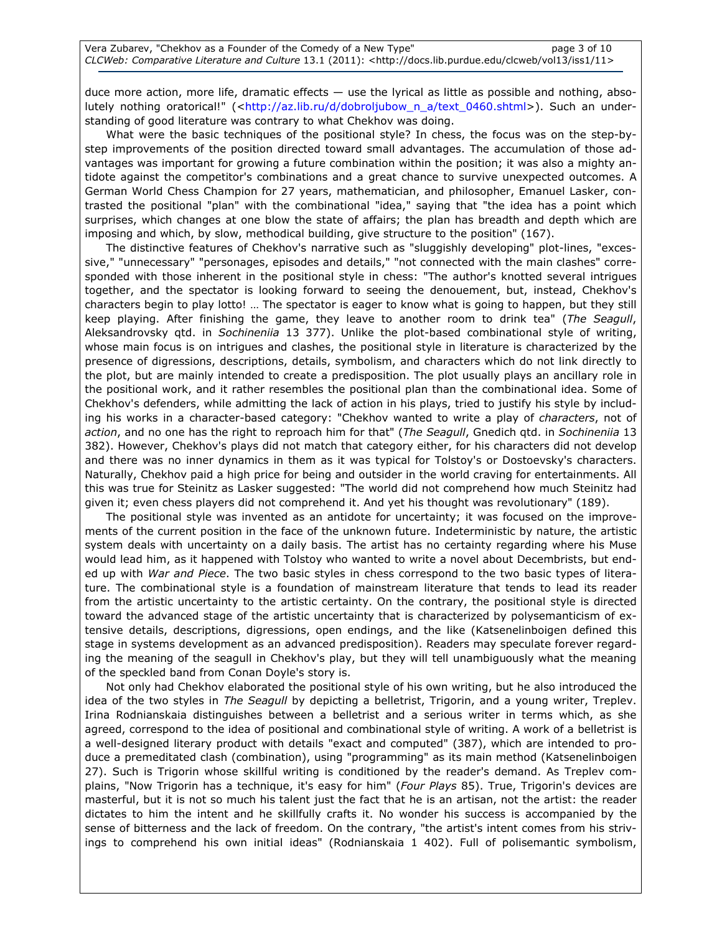duce more action, more life, dramatic effects  $-$  use the lyrical as little as possible and nothing, absolutely nothing oratorical!" (<http://az.lib.ru/d/dobroljubow\_n\_a/text\_0460.shtml>). Such an understanding of good literature was contrary to what Chekhov was doing.

What were the basic techniques of the positional style? In chess, the focus was on the step-bystep improvements of the position directed toward small advantages. The accumulation of those advantages was important for growing a future combination within the position; it was also a mighty antidote against the competitor's combinations and a great chance to survive unexpected outcomes. A German World Chess Champion for 27 years, mathematician, and philosopher, Emanuel Lasker, contrasted the positional "plan" with the combinational "idea," saying that "the idea has a point which surprises, which changes at one blow the state of affairs; the plan has breadth and depth which are imposing and which, by slow, methodical building, give structure to the position" (167).

The distinctive features of Chekhov's narrative such as "sluggishly developing" plot-lines, "excessive," "unnecessary" "personages, episodes and details," "not connected with the main clashes" corresponded with those inherent in the positional style in chess: "The author's knotted several intrigues together, and the spectator is looking forward to seeing the denouement, but, instead, Chekhov's characters begin to play lotto! … The spectator is eager to know what is going to happen, but they still keep playing. After finishing the game, they leave to another room to drink tea" (The Seagull, Aleksandrovsky qtd. in Sochineniia 13 377). Unlike the plot-based combinational style of writing, whose main focus is on intrigues and clashes, the positional style in literature is characterized by the presence of digressions, descriptions, details, symbolism, and characters which do not link directly to the plot, but are mainly intended to create a predisposition. The plot usually plays an ancillary role in the positional work, and it rather resembles the positional plan than the combinational idea. Some of Chekhov's defenders, while admitting the lack of action in his plays, tried to justify his style by including his works in a character-based category: "Chekhov wanted to write a play of characters, not of action, and no one has the right to reproach him for that" (The Seagull, Gnedich gtd. in Sochineniia 13 382). However, Chekhov's plays did not match that category either, for his characters did not develop and there was no inner dynamics in them as it was typical for Tolstoy's or Dostoevsky's characters. Naturally, Chekhov paid a high price for being and outsider in the world craving for entertainments. All this was true for Steinitz as Lasker suggested: "The world did not comprehend how much Steinitz had given it; even chess players did not comprehend it. And yet his thought was revolutionary" (189).

The positional style was invented as an antidote for uncertainty; it was focused on the improvements of the current position in the face of the unknown future. Indeterministic by nature, the artistic system deals with uncertainty on a daily basis. The artist has no certainty regarding where his Muse would lead him, as it happened with Tolstoy who wanted to write a novel about Decembrists, but ended up with War and Piece. The two basic styles in chess correspond to the two basic types of literature. The combinational style is a foundation of mainstream literature that tends to lead its reader from the artistic uncertainty to the artistic certainty. On the contrary, the positional style is directed toward the advanced stage of the artistic uncertainty that is characterized by polysemanticism of extensive details, descriptions, digressions, open endings, and the like (Katsenelinboigen defined this stage in systems development as an advanced predisposition). Readers may speculate forever regarding the meaning of the seagull in Chekhov's play, but they will tell unambiguously what the meaning of the speckled band from Conan Doyle's story is.

Not only had Chekhov elaborated the positional style of his own writing, but he also introduced the idea of the two styles in The Seagull by depicting a belletrist, Trigorin, and a young writer, Treplev. Irina Rodnianskaia distinguishes between a belletrist and a serious writer in terms which, as she agreed, correspond to the idea of positional and combinational style of writing. A work of a belletrist is a well-designed literary product with details "exact and computed" (387), which are intended to produce a premeditated clash (combination), using "programming" as its main method (Katsenelinboigen 27). Such is Trigorin whose skillful writing is conditioned by the reader's demand. As Treplev complains, "Now Trigorin has a technique, it's easy for him" (Four Plays 85). True, Trigorin's devices are masterful, but it is not so much his talent just the fact that he is an artisan, not the artist: the reader dictates to him the intent and he skillfully crafts it. No wonder his success is accompanied by the sense of bitterness and the lack of freedom. On the contrary, "the artist's intent comes from his strivings to comprehend his own initial ideas" (Rodnianskaia 1 402). Full of polisemantic symbolism,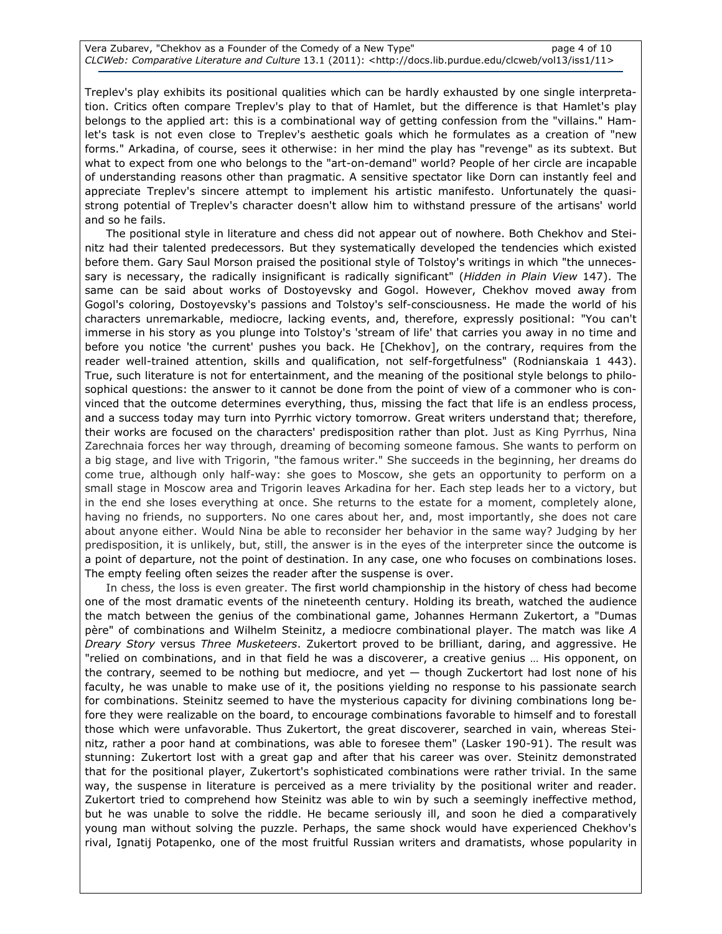Treplev's play exhibits its positional qualities which can be hardly exhausted by one single interpretation. Critics often compare Treplev's play to that of Hamlet, but the difference is that Hamlet's play belongs to the applied art: this is a combinational way of getting confession from the "villains." Hamlet's task is not even close to Treplev's aesthetic goals which he formulates as a creation of "new forms." Arkadina, of course, sees it otherwise: in her mind the play has "revenge" as its subtext. But what to expect from one who belongs to the "art-on-demand" world? People of her circle are incapable of understanding reasons other than pragmatic. A sensitive spectator like Dorn can instantly feel and appreciate Treplev's sincere attempt to implement his artistic manifesto. Unfortunately the quasistrong potential of Treplev's character doesn't allow him to withstand pressure of the artisans' world and so he fails.

The positional style in literature and chess did not appear out of nowhere. Both Chekhov and Steinitz had their talented predecessors. But they systematically developed the tendencies which existed before them. Gary Saul Morson praised the positional style of Tolstoy's writings in which "the unnecessary is necessary, the radically insignificant is radically significant" (Hidden in Plain View 147). The same can be said about works of Dostoyevsky and Gogol. However, Chekhov moved away from Gogol's coloring, Dostoyevsky's passions and Tolstoy's self-consciousness. He made the world of his characters unremarkable, mediocre, lacking events, and, therefore, expressly positional: "You can't immerse in his story as you plunge into Tolstoy's 'stream of life' that carries you away in no time and before you notice 'the current' pushes you back. He [Chekhov], on the contrary, requires from the reader well-trained attention, skills and qualification, not self-forgetfulness" (Rodnianskaia 1 443). True, such literature is not for entertainment, and the meaning of the positional style belongs to philosophical questions: the answer to it cannot be done from the point of view of a commoner who is convinced that the outcome determines everything, thus, missing the fact that life is an endless process, and a success today may turn into Pyrrhic victory tomorrow. Great writers understand that; therefore, their works are focused on the characters' predisposition rather than plot. Just as King Pyrrhus, Nina Zarechnaia forces her way through, dreaming of becoming someone famous. She wants to perform on a big stage, and live with Trigorin, "the famous writer." She succeeds in the beginning, her dreams do come true, although only half-way: she goes to Moscow, she gets an opportunity to perform on a small stage in Moscow area and Trigorin leaves Arkadina for her. Each step leads her to a victory, but in the end she loses everything at once. She returns to the estate for a moment, completely alone, having no friends, no supporters. No one cares about her, and, most importantly, she does not care about anyone either. Would Nina be able to reconsider her behavior in the same way? Judging by her predisposition, it is unlikely, but, still, the answer is in the eyes of the interpreter since the outcome is a point of departure, not the point of destination. In any case, one who focuses on combinations loses. The empty feeling often seizes the reader after the suspense is over.

In chess, the loss is even greater. The first world championship in the history of chess had become one of the most dramatic events of the nineteenth century. Holding its breath, watched the audience the match between the genius of the combinational game, Johannes Hermann Zukertort, a "Dumas père" of combinations and Wilhelm Steinitz, a mediocre combinational player. The match was like A Dreary Story versus Three Musketeers. Zukertort proved to be brilliant, daring, and aggressive. He "relied on combinations, and in that field he was a discoverer, a creative genius … His opponent, on the contrary, seemed to be nothing but mediocre, and yet — though Zuckertort had lost none of his faculty, he was unable to make use of it, the positions yielding no response to his passionate search for combinations. Steinitz seemed to have the mysterious capacity for divining combinations long before they were realizable on the board, to encourage combinations favorable to himself and to forestall those which were unfavorable. Thus Zukertort, the great discoverer, searched in vain, whereas Steinitz, rather a poor hand at combinations, was able to foresee them" (Lasker 190-91). The result was stunning: Zukertort lost with a great gap and after that his career was over. Steinitz demonstrated that for the positional player, Zukertort's sophisticated combinations were rather trivial. In the same way, the suspense in literature is perceived as a mere triviality by the positional writer and reader. Zukertort tried to comprehend how Steinitz was able to win by such a seemingly ineffective method, but he was unable to solve the riddle. He became seriously ill, and soon he died a comparatively young man without solving the puzzle. Perhaps, the same shock would have experienced Chekhov's rival, Ignatij Potapenko, one of the most fruitful Russian writers and dramatists, whose popularity in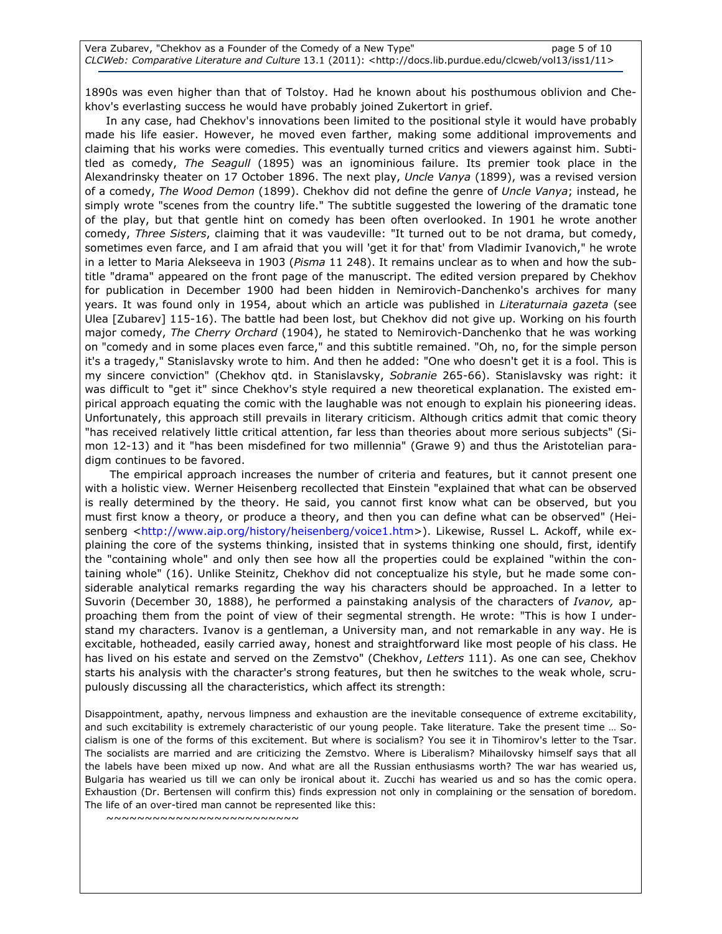1890s was even higher than that of Tolstoy. Had he known about his posthumous oblivion and Chekhov's everlasting success he would have probably joined Zukertort in grief.

In any case, had Chekhov's innovations been limited to the positional style it would have probably made his life easier. However, he moved even farther, making some additional improvements and claiming that his works were comedies. This eventually turned critics and viewers against him. Subtitled as comedy, The Seagull (1895) was an ignominious failure. Its premier took place in the Alexandrinsky theater on 17 October 1896. The next play, Uncle Vanya (1899), was a revised version of a comedy, The Wood Demon (1899). Chekhov did not define the genre of Uncle Vanya; instead, he simply wrote "scenes from the country life." The subtitle suggested the lowering of the dramatic tone of the play, but that gentle hint on comedy has been often overlooked. In 1901 he wrote another comedy, Three Sisters, claiming that it was vaudeville: "It turned out to be not drama, but comedy, sometimes even farce, and I am afraid that you will 'get it for that' from Vladimir Ivanovich," he wrote in a letter to Maria Alekseeva in 1903 (Pisma 11 248). It remains unclear as to when and how the subtitle "drama" appeared on the front page of the manuscript. The edited version prepared by Chekhov for publication in December 1900 had been hidden in Nemirovich-Danchenko's archives for many years. It was found only in 1954, about which an article was published in Literaturnaia gazeta (see Ulea [Zubarev] 115-16). The battle had been lost, but Chekhov did not give up. Working on his fourth major comedy, The Cherry Orchard (1904), he stated to Nemirovich-Danchenko that he was working on "comedy and in some places even farce," and this subtitle remained. "Oh, no, for the simple person it's a tragedy," Stanislavsky wrote to him. And then he added: "One who doesn't get it is a fool. This is my sincere conviction" (Chekhov qtd. in Stanislavsky, Sobranie 265-66). Stanislavsky was right: it was difficult to "get it" since Chekhov's style required a new theoretical explanation. The existed empirical approach equating the comic with the laughable was not enough to explain his pioneering ideas. Unfortunately, this approach still prevails in literary criticism. Although critics admit that comic theory "has received relatively little critical attention, far less than theories about more serious subjects" (Simon 12-13) and it "has been misdefined for two millennia" (Grawe 9) and thus the Aristotelian paradigm continues to be favored.

 The empirical approach increases the number of criteria and features, but it cannot present one with a holistic view. Werner Heisenberg recollected that Einstein "explained that what can be observed is really determined by the theory. He said, you cannot first know what can be observed, but you must first know a theory, or produce a theory, and then you can define what can be observed" (Heisenberg <http://www.aip.org/history/heisenberg/voice1.htm>). Likewise, Russel L. Ackoff, while explaining the core of the systems thinking, insisted that in systems thinking one should, first, identify the "containing whole" and only then see how all the properties could be explained "within the containing whole" (16). Unlike Steinitz, Chekhov did not conceptualize his style, but he made some considerable analytical remarks regarding the way his characters should be approached. In a letter to Suvorin (December 30, 1888), he performed a painstaking analysis of the characters of Ivanov, approaching them from the point of view of their segmental strength. He wrote: "This is how I understand my characters. Ivanov is a gentleman, a University man, and not remarkable in any way. He is excitable, hotheaded, easily carried away, honest and straightforward like most people of his class. He has lived on his estate and served on the Zemstvo" (Chekhov, Letters 111). As one can see, Chekhov starts his analysis with the character's strong features, but then he switches to the weak whole, scrupulously discussing all the characteristics, which affect its strength:

Disappointment, apathy, nervous limpness and exhaustion are the inevitable consequence of extreme excitability, and such excitability is extremely characteristic of our young people. Take literature. Take the present time … Socialism is one of the forms of this excitement. But where is socialism? You see it in Tihomirov's letter to the Tsar. The socialists are married and are criticizing the Zemstvo. Where is Liberalism? Mihailovsky himself says that all the labels have been mixed up now. And what are all the Russian enthusiasms worth? The war has wearied us, Bulgaria has wearied us till we can only be ironical about it. Zucchi has wearied us and so has the comic opera. Exhaustion (Dr. Bertensen will confirm this) finds expression not only in complaining or the sensation of boredom. The life of an over-tired man cannot be represented like this:

~~~~~~~~~~~~~~~~~~~~~~~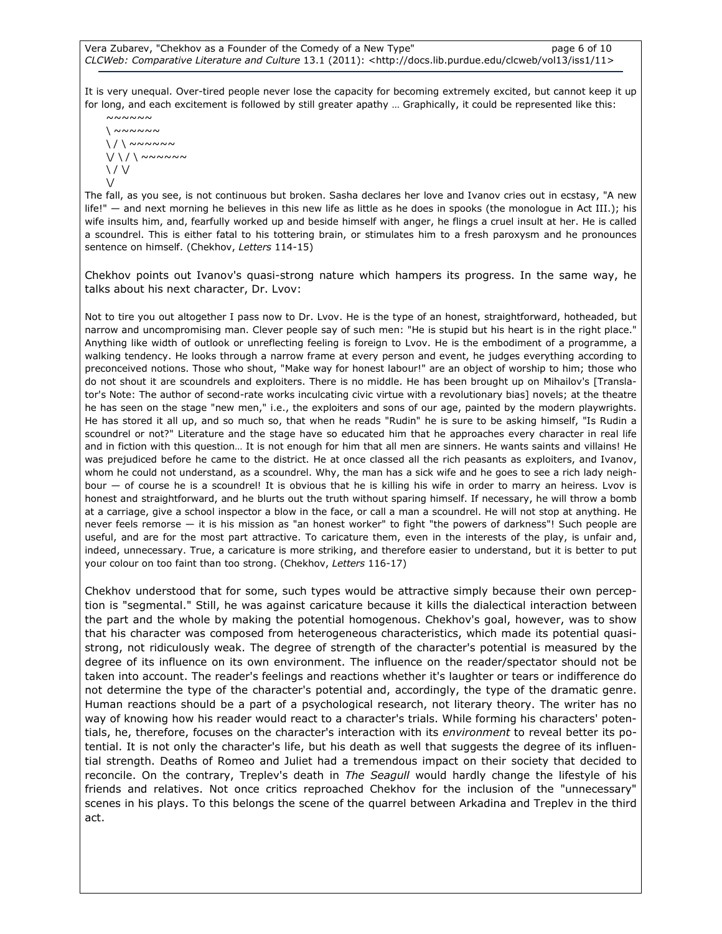Vera Zubarev, "Chekhov as a Founder of the Comedy of a New Type" page 6 of 10 CLCWeb: Comparative Literature and Culture 13.1 (2011): <http://docs.lib.purdue.edu/clcweb/vol13/iss1/11>

It is very unequal. Over-tired people never lose the capacity for becoming extremely excited, but cannot keep it up for long, and each excitement is followed by still greater apathy … Graphically, it could be represented like this:

~~~~~~  $\backslash$   $\sim$   $\sim$   $\sim$   $\sim$  $\setminus / \setminus \sim \sim \sim \sim \sim \sim$  $V \setminus / \setminus \sim$   $\sim$   $\sim$   $\sim$   $\sim$  $\setminus$  /  $\vee$  $\vee$ 

The fall, as you see, is not continuous but broken. Sasha declares her love and Ivanov cries out in ecstasy, "A new life!" — and next morning he believes in this new life as little as he does in spooks (the monologue in Act III.); his wife insults him, and, fearfully worked up and beside himself with anger, he flings a cruel insult at her. He is called a scoundrel. This is either fatal to his tottering brain, or stimulates him to a fresh paroxysm and he pronounces sentence on himself. (Chekhov, Letters 114-15)

Chekhov points out Ivanov's quasi-strong nature which hampers its progress. In the same way, he talks about his next character, Dr. Lvov:

Not to tire you out altogether I pass now to Dr. Lvov. He is the type of an honest, straightforward, hotheaded, but narrow and uncompromising man. Clever people say of such men: "He is stupid but his heart is in the right place." Anything like width of outlook or unreflecting feeling is foreign to Lvov. He is the embodiment of a programme, a walking tendency. He looks through a narrow frame at every person and event, he judges everything according to preconceived notions. Those who shout, "Make way for honest labour!" are an object of worship to him; those who do not shout it are scoundrels and exploiters. There is no middle. He has been brought up on Mihailov's [Translator's Note: The author of second-rate works inculcating civic virtue with a revolutionary bias] novels; at the theatre he has seen on the stage "new men," i.e., the exploiters and sons of our age, painted by the modern playwrights. He has stored it all up, and so much so, that when he reads "Rudin" he is sure to be asking himself, "Is Rudin a scoundrel or not?" Literature and the stage have so educated him that he approaches every character in real life and in fiction with this question... It is not enough for him that all men are sinners. He wants saints and villains! He was prejudiced before he came to the district. He at once classed all the rich peasants as exploiters, and Ivanov, whom he could not understand, as a scoundrel. Why, the man has a sick wife and he goes to see a rich lady neighbour — of course he is a scoundrel! It is obvious that he is killing his wife in order to marry an heiress. Lvov is honest and straightforward, and he blurts out the truth without sparing himself. If necessary, he will throw a bomb at a carriage, give a school inspector a blow in the face, or call a man a scoundrel. He will not stop at anything. He never feels remorse — it is his mission as "an honest worker" to fight "the powers of darkness"! Such people are useful, and are for the most part attractive. To caricature them, even in the interests of the play, is unfair and, indeed, unnecessary. True, a caricature is more striking, and therefore easier to understand, but it is better to put your colour on too faint than too strong. (Chekhov, Letters 116-17)

Chekhov understood that for some, such types would be attractive simply because their own perception is "segmental." Still, he was against caricature because it kills the dialectical interaction between the part and the whole by making the potential homogenous. Chekhov's goal, however, was to show that his character was composed from heterogeneous characteristics, which made its potential quasistrong, not ridiculously weak. The degree of strength of the character's potential is measured by the degree of its influence on its own environment. The influence on the reader/spectator should not be taken into account. The reader's feelings and reactions whether it's laughter or tears or indifference do not determine the type of the character's potential and, accordingly, the type of the dramatic genre. Human reactions should be a part of a psychological research, not literary theory. The writer has no way of knowing how his reader would react to a character's trials. While forming his characters' potentials, he, therefore, focuses on the character's interaction with its environment to reveal better its potential. It is not only the character's life, but his death as well that suggests the degree of its influential strength. Deaths of Romeo and Juliet had a tremendous impact on their society that decided to reconcile. On the contrary, Treplev's death in The Seagull would hardly change the lifestyle of his friends and relatives. Not once critics reproached Chekhov for the inclusion of the "unnecessary" scenes in his plays. To this belongs the scene of the quarrel between Arkadina and Treplev in the third act.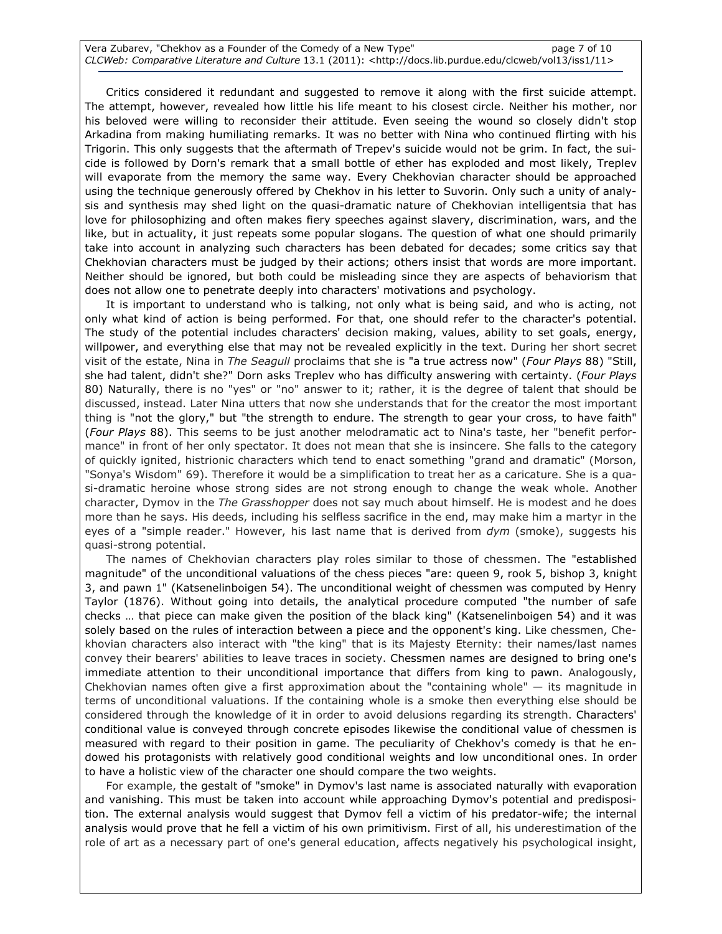Vera Zubarev, "Chekhov as a Founder of the Comedy of a New Type" example 2 of 10 CLCWeb: Comparative Literature and Culture 13.1 (2011): <http://docs.lib.purdue.edu/clcweb/vol13/iss1/11>

Critics considered it redundant and suggested to remove it along with the first suicide attempt. The attempt, however, revealed how little his life meant to his closest circle. Neither his mother, nor his beloved were willing to reconsider their attitude. Even seeing the wound so closely didn't stop Arkadina from making humiliating remarks. It was no better with Nina who continued flirting with his Trigorin. This only suggests that the aftermath of Trepev's suicide would not be grim. In fact, the suicide is followed by Dorn's remark that a small bottle of ether has exploded and most likely, Treplev will evaporate from the memory the same way. Every Chekhovian character should be approached using the technique generously offered by Chekhov in his letter to Suvorin. Only such a unity of analysis and synthesis may shed light on the quasi-dramatic nature of Chekhovian intelligentsia that has love for philosophizing and often makes fiery speeches against slavery, discrimination, wars, and the like, but in actuality, it just repeats some popular slogans. The question of what one should primarily take into account in analyzing such characters has been debated for decades; some critics say that Chekhovian characters must be judged by their actions; others insist that words are more important. Neither should be ignored, but both could be misleading since they are aspects of behaviorism that does not allow one to penetrate deeply into characters' motivations and psychology.

It is important to understand who is talking, not only what is being said, and who is acting, not only what kind of action is being performed. For that, one should refer to the character's potential. The study of the potential includes characters' decision making, values, ability to set goals, energy, willpower, and everything else that may not be revealed explicitly in the text. During her short secret visit of the estate, Nina in The Seagull proclaims that she is "a true actress now" (Four Plays 88) "Still, she had talent, didn't she?" Dorn asks Treplev who has difficulty answering with certainty. (Four Plays 80) Naturally, there is no "yes" or "no" answer to it; rather, it is the degree of talent that should be discussed, instead. Later Nina utters that now she understands that for the creator the most important thing is "not the glory," but "the strength to endure. The strength to gear your cross, to have faith" (Four Plays 88). This seems to be just another melodramatic act to Nina's taste, her "benefit performance" in front of her only spectator. It does not mean that she is insincere. She falls to the category of quickly ignited, histrionic characters which tend to enact something "grand and dramatic" (Morson, "Sonya's Wisdom" 69). Therefore it would be a simplification to treat her as a caricature. She is a quasi-dramatic heroine whose strong sides are not strong enough to change the weak whole. Another character, Dymov in the The Grasshopper does not say much about himself. He is modest and he does more than he says. His deeds, including his selfless sacrifice in the end, may make him a martyr in the eyes of a "simple reader." However, his last name that is derived from  $dym$  (smoke), suggests his quasi-strong potential.

The names of Chekhovian characters play roles similar to those of chessmen. The "established magnitude" of the unconditional valuations of the chess pieces "are: queen 9, rook 5, bishop 3, knight 3, and pawn 1" (Katsenelinboigen 54). The unconditional weight of chessmen was computed by Henry Taylor (1876). Without going into details, the analytical procedure computed "the number of safe checks … that piece can make given the position of the black king" (Katsenelinboigen 54) and it was solely based on the rules of interaction between a piece and the opponent's king. Like chessmen, Chekhovian characters also interact with "the king" that is its Majesty Eternity: their names/last names convey their bearers' abilities to leave traces in society. Chessmen names are designed to bring one's immediate attention to their unconditional importance that differs from king to pawn. Analogously, Chekhovian names often give a first approximation about the "containing whole" — its magnitude in terms of unconditional valuations. If the containing whole is a smoke then everything else should be considered through the knowledge of it in order to avoid delusions regarding its strength. Characters' conditional value is conveyed through concrete episodes likewise the conditional value of chessmen is measured with regard to their position in game. The peculiarity of Chekhov's comedy is that he endowed his protagonists with relatively good conditional weights and low unconditional ones. In order to have a holistic view of the character one should compare the two weights.

For example, the gestalt of "smoke" in Dymov's last name is associated naturally with evaporation and vanishing. This must be taken into account while approaching Dymov's potential and predisposition. The external analysis would suggest that Dymov fell a victim of his predator-wife; the internal analysis would prove that he fell a victim of his own primitivism. First of all, his underestimation of the role of art as a necessary part of one's general education, affects negatively his psychological insight,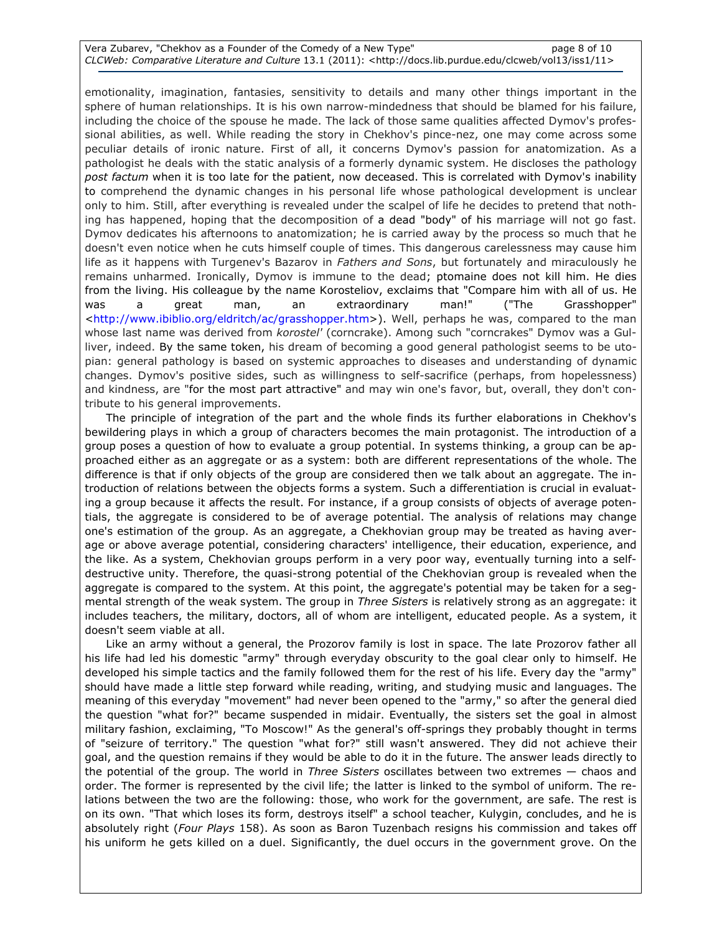#### Vera Zubarev, "Chekhov as a Founder of the Comedy of a New Type" by each company page 8 of 10 CLCWeb: Comparative Literature and Culture 13.1 (2011): <http://docs.lib.purdue.edu/clcweb/vol13/iss1/11>

emotionality, imagination, fantasies, sensitivity to details and many other things important in the sphere of human relationships. It is his own narrow-mindedness that should be blamed for his failure, including the choice of the spouse he made. The lack of those same qualities affected Dymov's professional abilities, as well. While reading the story in Chekhov's pince-nez, one may come across some peculiar details of ironic nature. First of all, it concerns Dymov's passion for anatomization. As a pathologist he deals with the static analysis of a formerly dynamic system. He discloses the pathology post factum when it is too late for the patient, now deceased. This is correlated with Dymov's inability to comprehend the dynamic changes in his personal life whose pathological development is unclear only to him. Still, after everything is revealed under the scalpel of life he decides to pretend that nothing has happened, hoping that the decomposition of a dead "body" of his marriage will not go fast. Dymov dedicates his afternoons to anatomization; he is carried away by the process so much that he doesn't even notice when he cuts himself couple of times. This dangerous carelessness may cause him life as it happens with Turgenev's Bazarov in Fathers and Sons, but fortunately and miraculously he remains unharmed. Ironically, Dymov is immune to the dead; ptomaine does not kill him. He dies from the living. His colleague by the name Korosteliov, exclaims that "Compare him with all of us. He was a great man, an extraordinary man!" ("The Grasshopper" <http://www.ibiblio.org/eldritch/ac/grasshopper.htm>). Well, perhaps he was, compared to the man whose last name was derived from korostel' (corncrake). Among such "corncrakes" Dymov was a Gulliver, indeed. By the same token, his dream of becoming a good general pathologist seems to be utopian: general pathology is based on systemic approaches to diseases and understanding of dynamic changes. Dymov's positive sides, such as willingness to self-sacrifice (perhaps, from hopelessness) and kindness, are "for the most part attractive" and may win one's favor, but, overall, they don't contribute to his general improvements.

The principle of integration of the part and the whole finds its further elaborations in Chekhov's bewildering plays in which a group of characters becomes the main protagonist. The introduction of a group poses a question of how to evaluate a group potential. In systems thinking, a group can be approached either as an aggregate or as a system: both are different representations of the whole. The difference is that if only objects of the group are considered then we talk about an aggregate. The introduction of relations between the objects forms a system. Such a differentiation is crucial in evaluating a group because it affects the result. For instance, if a group consists of objects of average potentials, the aggregate is considered to be of average potential. The analysis of relations may change one's estimation of the group. As an aggregate, a Chekhovian group may be treated as having average or above average potential, considering characters' intelligence, their education, experience, and the like. As a system, Chekhovian groups perform in a very poor way, eventually turning into a selfdestructive unity. Therefore, the quasi-strong potential of the Chekhovian group is revealed when the aggregate is compared to the system. At this point, the aggregate's potential may be taken for a segmental strength of the weak system. The group in Three Sisters is relatively strong as an aggregate: it includes teachers, the military, doctors, all of whom are intelligent, educated people. As a system, it doesn't seem viable at all.

Like an army without a general, the Prozorov family is lost in space. The late Prozorov father all his life had led his domestic "army" through everyday obscurity to the goal clear only to himself. He developed his simple tactics and the family followed them for the rest of his life. Every day the "army" should have made a little step forward while reading, writing, and studying music and languages. The meaning of this everyday "movement" had never been opened to the "army," so after the general died the question "what for?" became suspended in midair. Eventually, the sisters set the goal in almost military fashion, exclaiming, "To Moscow!" As the general's off-springs they probably thought in terms of "seizure of territory." The question "what for?" still wasn't answered. They did not achieve their goal, and the question remains if they would be able to do it in the future. The answer leads directly to the potential of the group. The world in Three Sisters oscillates between two extremes - chaos and order. The former is represented by the civil life; the latter is linked to the symbol of uniform. The relations between the two are the following: those, who work for the government, are safe. The rest is on its own. "That which loses its form, destroys itself" a school teacher, Kulygin, concludes, and he is absolutely right (Four Plays 158). As soon as Baron Tuzenbach resigns his commission and takes off his uniform he gets killed on a duel. Significantly, the duel occurs in the government grove. On the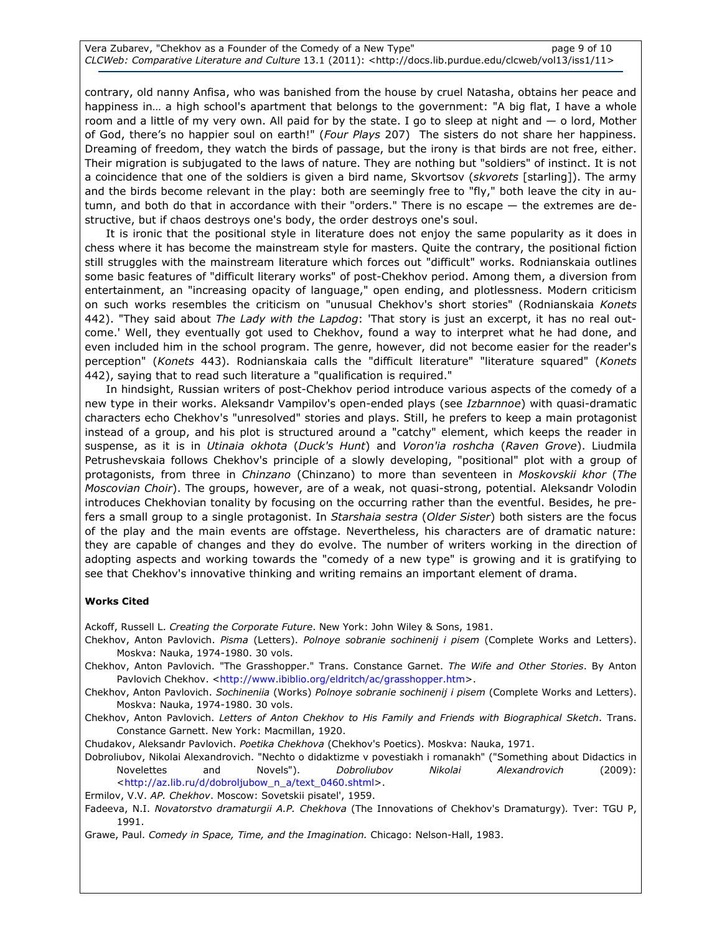contrary, old nanny Anfisa, who was banished from the house by cruel Natasha, obtains her peace and happiness in... a high school's apartment that belongs to the government: "A big flat, I have a whole room and a little of my very own. All paid for by the state. I go to sleep at night and  $-$  o lord, Mother of God, there's no happier soul on earth!" (Four Plays 207) The sisters do not share her happiness. Dreaming of freedom, they watch the birds of passage, but the irony is that birds are not free, either. Their migration is subjugated to the laws of nature. They are nothing but "soldiers" of instinct. It is not a coincidence that one of the soldiers is given a bird name, Skvortsov (skvorets [starling]). The army and the birds become relevant in the play: both are seemingly free to "fly," both leave the city in autumn, and both do that in accordance with their "orders." There is no escape — the extremes are destructive, but if chaos destroys one's body, the order destroys one's soul.

It is ironic that the positional style in literature does not enjoy the same popularity as it does in chess where it has become the mainstream style for masters. Quite the contrary, the positional fiction still struggles with the mainstream literature which forces out "difficult" works. Rodnianskaia outlines some basic features of "difficult literary works" of post-Chekhov period. Among them, a diversion from entertainment, an "increasing opacity of language," open ending, and plotlessness. Modern criticism on such works resembles the criticism on "unusual Chekhov's short stories" (Rodnianskaia Konets 442). "They said about The Lady with the Lapdog: 'That story is just an excerpt, it has no real outcome.' Well, they eventually got used to Chekhov, found a way to interpret what he had done, and even included him in the school program. The genre, however, did not become easier for the reader's perception" (Konets 443). Rodnianskaia calls the "difficult literature" "literature squared" (Konets 442), saying that to read such literature a "qualification is required."

In hindsight, Russian writers of post-Chekhov period introduce various aspects of the comedy of a new type in their works. Aleksandr Vampilov's open-ended plays (see Izbarnnoe) with quasi-dramatic characters echo Chekhov's "unresolved" stories and plays. Still, he prefers to keep a main protagonist instead of a group, and his plot is structured around a "catchy" element, which keeps the reader in suspense, as it is in Utinaia okhota (Duck's Hunt) and Voron'ia roshcha (Raven Grove). Liudmila Petrushevskaia follows Chekhov's principle of a slowly developing, "positional" plot with a group of protagonists, from three in *Chinzano* (Chinzano) to more than seventeen in *Moskovskii khor* (The Moscovian Choir). The groups, however, are of a weak, not quasi-strong, potential. Aleksandr Volodin introduces Chekhovian tonality by focusing on the occurring rather than the eventful. Besides, he prefers a small group to a single protagonist. In Starshaia sestra (Older Sister) both sisters are the focus of the play and the main events are offstage. Nevertheless, his characters are of dramatic nature: they are capable of changes and they do evolve. The number of writers working in the direction of adopting aspects and working towards the "comedy of a new type" is growing and it is gratifying to see that Chekhov's innovative thinking and writing remains an important element of drama.

#### Works Cited

Ackoff, Russell L. Creating the Corporate Future. New York: John Wiley & Sons, 1981.

- Chekhov, Anton Pavlovich. Pisma (Letters). Polnoye sobranie sochinenij i pisem (Complete Works and Letters). Moskva: Nauka, 1974-1980. 30 vols.
- Chekhov, Anton Pavlovich. "The Grasshopper." Trans. Constance Garnet. The Wife and Other Stories. By Anton Pavlovich Chekhov. <http://www.ibiblio.org/eldritch/ac/grasshopper.htm>.
- Chekhov, Anton Pavlovich. Sochineniia (Works) Polnoye sobranie sochinenij i pisem (Complete Works and Letters). Moskva: Nauka, 1974-1980. 30 vols.
- Chekhov, Anton Pavlovich. Letters of Anton Chekhov to His Family and Friends with Biographical Sketch. Trans. Constance Garnett. New York: Macmillan, 1920.
- Chudakov, Aleksandr Pavlovich. Poetika Chekhova (Chekhov's Poetics). Moskva: Nauka, 1971.
- Dobroliubov, Nikolai Alexandrovich. "Nechto o didaktizme v povestiakh i romanakh" ("Something about Didactics in Novelettes and Novels"). Dobroliubov Nikolai Alexandrovich (2009): <http://az.lib.ru/d/dobroljubow\_n\_a/text\_0460.shtml>.

Ermilov, V.V. AP. Chekhov. Moscow: Sovetskii pisatel', 1959.

Fadeeva, N.I. Novatorstvo dramaturgii A.P. Chekhova (The Innovations of Chekhov's Dramaturgy). Tver: TGU P, 1991.

Grawe, Paul. Comedy in Space, Time, and the Imagination. Chicago: Nelson-Hall, 1983.